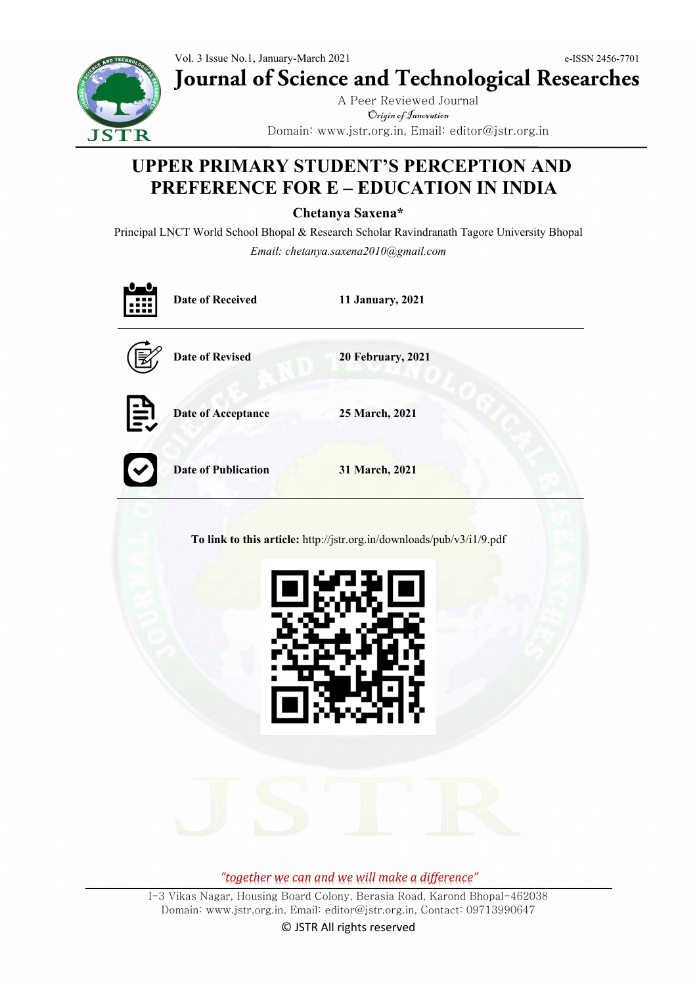Vol. 3 Issue No.1, January-March 2021 e-ISSN 2456-7701 **Journal of Science and Technological Researches**



A Peer Reviewed Journal Origin of Innovation Domain: www.jstr.org.in, Email: editor@jstr.org.in

# **UPPER PRIMARY STUDENT'S PERCEPTION AND PREFERENCE FOR E – EDUCATION IN INDIA**

**Chetanya Saxena\***

Principal LNCT World School Bhopal & Research Scholar Ravindranath Tagore University Bhopal *Email: chetanya.saxena2010@gmail.com*

|                                                                       | <b>Date of Received</b><br>n an a | 11 January, 2021         |
|-----------------------------------------------------------------------|-----------------------------------|--------------------------|
|                                                                       | <b>Date of Revised</b>            | <b>20 February, 2021</b> |
| EV                                                                    | Date of Acceptance                | 25 March, 2021           |
|                                                                       | <b>Date of Publication</b>        | 31 March, 2021           |
| To link to this article: http://jstr.org.in/downloads/pub/v3/i1/9.pdf |                                   |                          |
|                                                                       |                                   |                          |

*"together we can and we will make a difference"*

I-3 Vikas Nagar, Housing Board Colony, Berasia Road, Karond Bhopal-462038 Domain: www.jstr.org.in, Email: editor@jstr.org.in, Contact: 09713990647

© JSTR All rights reserved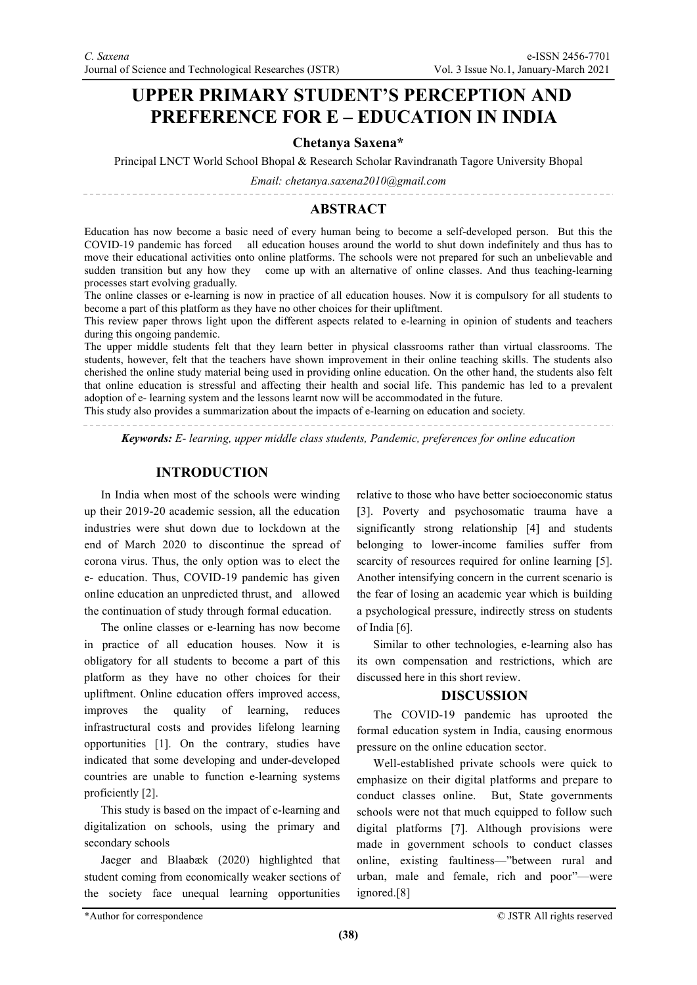## **UPPER PRIMARY STUDENT'S PERCEPTION AND PREFERENCE FOR E – EDUCATION IN INDIA**

#### **Chetanya Saxena\***

Principal LNCT World School Bhopal & Research Scholar Ravindranath Tagore University Bhopal

*Email: chetanya.saxena2010@gmail.com*

### **ABSTRACT**

Education has now become a basic need of every human being to become a self-developed person. But this the COVID-19 pandemic has forced all education houses around the world to shut down indefinitely and thus has to move their educational activities onto online platforms. The schools were not prepared for such an unbelievable and sudden transition but any how they come up with an alternative of online classes. And thus teaching-learning processes start evolving gradually.

The online classes or e-learning is now in practice of all education houses. Now it is compulsory for all students to become a part of this platform as they have no other choices for their upliftment.

This review paper throws light upon the different aspects related to e-learning in opinion of students and teachers during this ongoing pandemic.

The upper middle students felt that they learn better in physical classrooms rather than virtual classrooms. The students, however, felt that the teachers have shown improvement in their online teaching skills. The students also cherished the online study material being used in providing online education. On the other hand, the students also felt that online education is stressful and affecting their health and social life. This pandemic has led to a prevalent adoption of e- learning system and the lessons learnt now will be accommodated in the future.

This study also provides a summarization about the impacts of e-learning on education and society.

*Keywords: E- learning, upper middle class students, Pandemic, preferences for online education*

#### **INTRODUCTION**

In India when most of the schools were winding up their 2019-20 academic session, all the education industries were shut down due to lockdown at the end of March 2020 to discontinue the spread of corona virus. Thus, the only option was to elect the e- education. Thus, COVID-19 pandemic has given online education an unpredicted thrust, and allowed the continuation of study through formal education.

The online classes or e-learning has now become in practice of all education houses. Now it is obligatory for all students to become a part of this platform as they have no other choices for their upliftment. Online education offers improved access, improves the quality of learning, reduces infrastructural costs and provides lifelong learning opportunities [1]. On the contrary, studies have indicated that some developing and under-developed countries are unable to function e-learning systems proficiently [2].

This study is based on the impact of e-learning and digitalization on schools, using the primary and secondary schools

Jaeger and Blaabæk (2020) highlighted that student coming from economically weaker sections of the society face unequal learning opportunities relative to those who have better socioeconomic status [3]. Poverty and psychosomatic trauma have a significantly strong relationship [4] and students belonging to lower-income families suffer from scarcity of resources required for online learning [5]. Another intensifying concern in the current scenario is the fear of losing an academic year which is building a psychological pressure, indirectly stress on students of India [6].

Similar to other technologies, e-learning also has its own compensation and restrictions, which are discussed here in this short review.

#### **DISCUSSION**

The COVID-19 pandemic has uprooted the formal education system in India, causing enormous pressure on the online education sector.

Well-established private schools were quick to emphasize on their digital platforms and prepare to conduct classes online. But, State governments schools were not that much equipped to follow such digital platforms [7]. Although provisions were made in government schools to conduct classes online, existing faultiness—"between rural and urban, male and female, rich and poor"—were ignored.[8]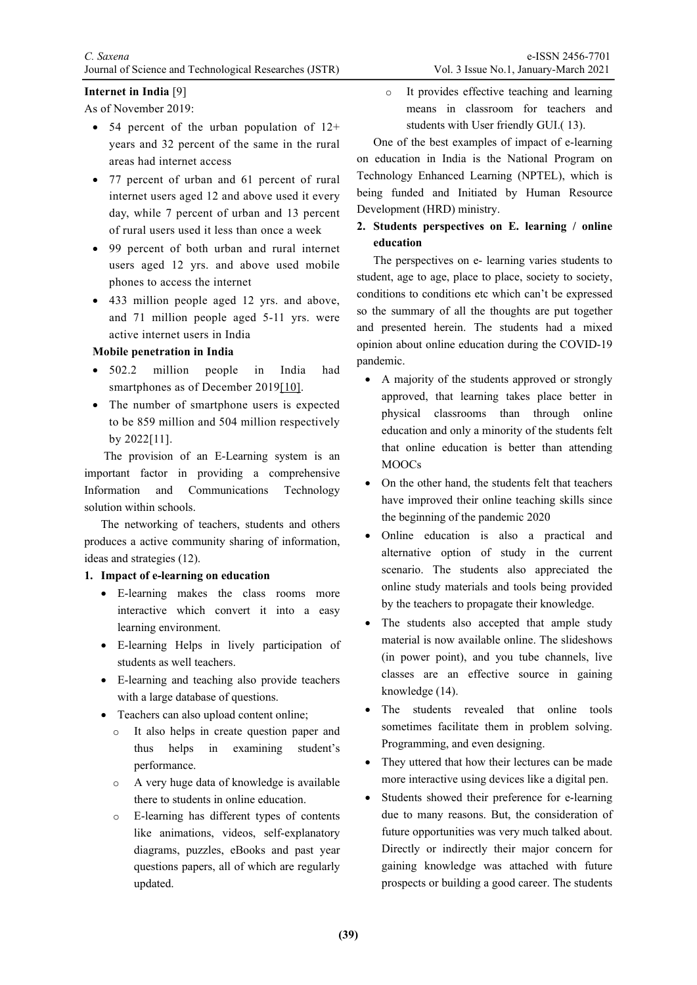#### **Internet in India** [9]

As of November 2019:

- 54 percent of the urban population of  $12+$ years and 32 percent of the same in the rural areas had internet access
- 77 percent of urban and 61 percent of rural internet users aged 12 and above used it every day, while 7 percent of urban and 13 percent of rural users used it less than once a week
- 99 percent of both urban and rural internet users aged 12 yrs. and above used mobile phones to access the internet
- 433 million people aged 12 yrs. and above, and 71 million people aged 5-11 yrs. were active internet users in India

#### **Mobile penetration in India**

- 502.2 million people in India had smartphones as of December 201[9\[10\].](https://www.orfonline.org/research/strengthening-the-online-education-ecosystem-in-india/#_edn10)
- The number of smartphone users is expected to be 859 million and 504 million respectively by 2022[11].

The provision of an E-Learning system is an important factor in providing a comprehensive Information and Communications Technology solution within schools.

The networking of teachers, students and others produces a active community sharing of information, ideas and strategies (12).

#### **1. Impact of e-learning on education**

- E-learning makes the class rooms more interactive which convert it into a easy learning environment.
- E-learning Helps in lively participation of students as well teachers.
- E-learning and teaching also provide teachers with a large database of questions.
- Teachers can also upload content online;
	- It also helps in create question paper and thus helps in examining student's performance.
	- o A very huge data of knowledge is available there to students in online education.
	- o E-learning has different types of contents like animations, videos, self-explanatory diagrams, puzzles, eBooks and past year questions papers, all of which are regularly updated.

o It provides effective teaching and learning means in classroom for teachers and students with User friendly GUI.( 13).

One of the best examples of impact of e-learning on education in India is the National Program on Technology Enhanced Learning (NPTEL), which is being funded and Initiated by Human Resource Development (HRD) ministry.

**2. Students perspectives on E. learning / online education**

The perspectives on e- learning varies students to student, age to age, place to place, society to society, conditions to conditions etc which can't be expressed so the summary of all the thoughts are put together and presented herein. The students had a mixed opinion about online education during the COVID-19 pandemic.

- A majority of the students approved or strongly approved, that learning takes place better in physical classrooms than through online education and only a minority of the students felt that online education is better than attending MOOCs
- On the other hand, the students felt that teachers have improved their online teaching skills since the beginning of the pandemic 2020
- Online education is also a practical and alternative option of study in the current scenario. The students also appreciated the online study materials and tools being provided by the teachers to propagate their knowledge.
- The students also accepted that ample study material is now available online. The slideshows (in power point), and you tube channels, live classes are an effective source in gaining knowledge (14).
- The students revealed that online tools sometimes facilitate them in problem solving. Programming, and even designing.
- They uttered that how their lectures can be made more interactive using devices like a digital pen.
- Students showed their preference for e-learning due to many reasons. But, the consideration of future opportunities was very much talked about. Directly or indirectly their major concern for gaining knowledge was attached with future prospects or building a good career. The students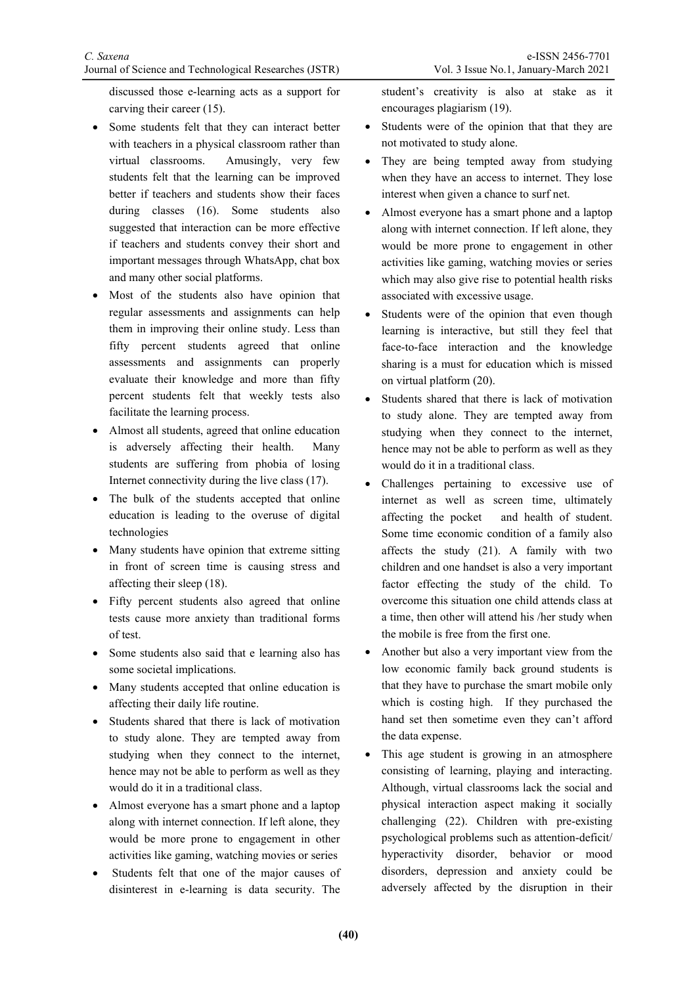discussed those e-learning acts as a support for carving their career (15).

- Some students felt that they can interact better with teachers in a physical classroom rather than virtual classrooms. Amusingly, very few students felt that the learning can be improved better if teachers and students show their faces during classes (16). Some students also suggested that interaction can be more effective if teachers and students convey their short and important messages through WhatsApp, chat box and many other social platforms.
- Most of the students also have opinion that regular assessments and assignments can help them in improving their online study. Less than fifty percent students agreed that online assessments and assignments can properly evaluate their knowledge and more than fifty percent students felt that weekly tests also facilitate the learning process.
- Almost all students, agreed that online education is adversely affecting their health. Many students are suffering from phobia of losing Internet connectivity during the live class (17).
- The bulk of the students accepted that online education is leading to the overuse of digital technologies
- Many students have opinion that extreme sitting in front of screen time is causing stress and affecting their sleep (18).
- Fifty percent students also agreed that online tests cause more anxiety than traditional forms of test.
- Some students also said that e learning also has some societal implications.
- Many students accepted that online education is affecting their daily life routine.
- Students shared that there is lack of motivation to study alone. They are tempted away from studying when they connect to the internet, hence may not be able to perform as well as they would do it in a traditional class.
- Almost everyone has a smart phone and a laptop along with internet connection. If left alone, they would be more prone to engagement in other activities like gaming, watching movies or series
- Students felt that one of the major causes of disinterest in e-learning is data security. The

student's creativity is also at stake as it encourages plagiarism (19).

- Students were of the opinion that that they are not motivated to study alone.
- They are being tempted away from studying when they have an access to internet. They lose interest when given a chance to surf net.
- Almost everyone has a smart phone and a laptop along with internet connection. If left alone, they would be more prone to engagement in other activities like gaming, watching movies or series which may also give rise to potential health risks associated with excessive usage.
- Students were of the opinion that even though learning is interactive, but still they feel that face-to-face interaction and the knowledge sharing is a must for education which is missed on virtual platform (20).
- Students shared that there is lack of motivation to study alone. They are tempted away from studying when they connect to the internet, hence may not be able to perform as well as they would do it in a traditional class.
- Challenges pertaining to excessive use of internet as well as screen time, ultimately affecting the pocket and health of student. Some time economic condition of a family also affects the study (21). A family with two children and one handset is also a very important factor effecting the study of the child. To overcome this situation one child attends class at a time, then other will attend his /her study when the mobile is free from the first one.
- Another but also a very important view from the low economic family back ground students is that they have to purchase the smart mobile only which is costing high. If they purchased the hand set then sometime even they can't afford the data expense.
- This age student is growing in an atmosphere consisting of learning, playing and interacting. Although, virtual classrooms lack the social and physical interaction aspect making it socially challenging (22). Children with pre-existing psychological problems such as attention-deficit/ hyperactivity disorder, behavior or mood disorders, depression and anxiety could be adversely affected by the disruption in their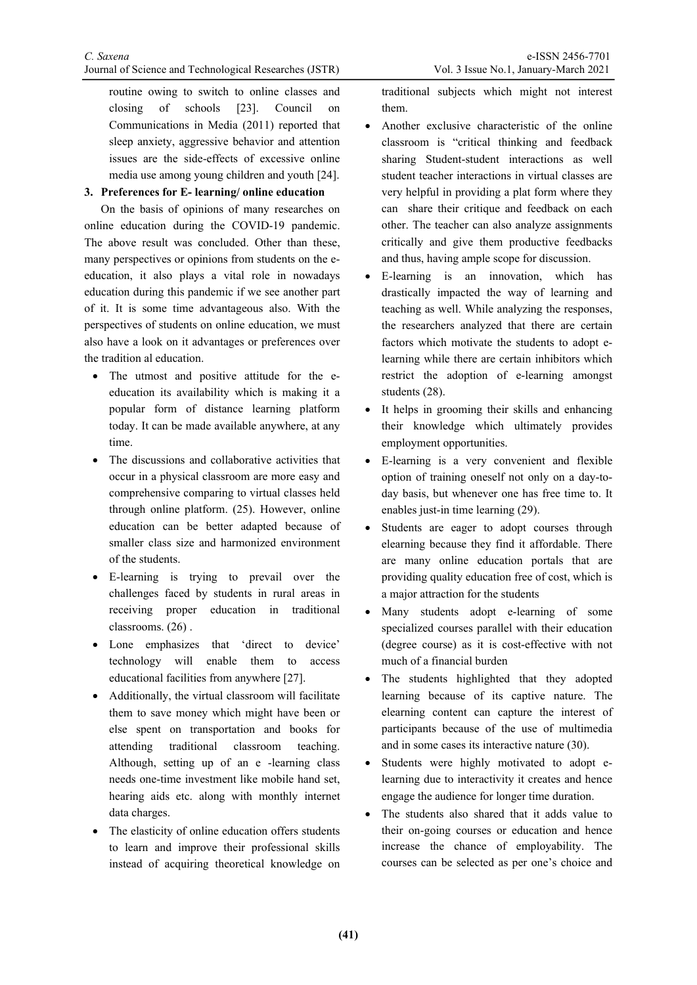routine owing to switch to online classes and closing of schools [23]. Council on Communications in Media (2011) reported that sleep anxiety, aggressive behavior and attention issues are the side-effects of excessive online media use among young children and youth [24].

#### **3. Preferences for E- learning/ online education**

On the basis of opinions of many researches on online education during the COVID-19 pandemic. The above result was concluded. Other than these, many perspectives or opinions from students on the eeducation, it also plays a vital role in nowadays education during this pandemic if we see another part of it. It is some time advantageous also. With the perspectives of students on online education, we must also have a look on it advantages or preferences over the tradition al education.

- The utmost and positive attitude for the eeducation its availability which is making it a popular form of distance learning platform today. It can be made available anywhere, at any time.
- The discussions and collaborative activities that occur in a physical classroom are more easy and comprehensive comparing to virtual classes held through online platform. (25). However, online education can be better adapted because of smaller class size and harmonized environment of the students.
- E-learning is trying to prevail over the challenges faced by students in rural areas in receiving proper education in traditional classrooms. (26) .
- Lone emphasizes that 'direct to device' technology will enable them to access educational facilities from anywhere [27].
- Additionally, the virtual classroom will facilitate them to save money which might have been or else spent on transportation and books for attending traditional classroom teaching. Although, setting up of an e -learning class needs one-time investment like mobile hand set, hearing aids etc. along with monthly internet data charges.
- The elasticity of online education offers students to learn and improve their professional skills instead of acquiring theoretical knowledge on

traditional subjects which might not interest them.

- Another exclusive characteristic of the online classroom is "critical thinking and feedback sharing Student-student interactions as well student teacher interactions in virtual classes are very helpful in providing a plat form where they can share their critique and feedback on each other. The teacher can also analyze assignments critically and give them productive feedbacks and thus, having ample scope for discussion.
- E-learning is an innovation, which has drastically impacted the way of learning and teaching as well. While analyzing the responses, the researchers analyzed that there are certain factors which motivate the students to adopt elearning while there are certain inhibitors which restrict the adoption of e-learning amongst students (28).
- It helps in grooming their skills and enhancing their knowledge which ultimately provides employment opportunities.
- E-learning is a very convenient and flexible option of training oneself not only on a day-today basis, but whenever one has free time to. It enables just-in time learning (29).
- Students are eager to adopt courses through elearning because they find it affordable. There are many online education portals that are providing quality education free of cost, which is a major attraction for the students
- Many students adopt e-learning of some specialized courses parallel with their education (degree course) as it is cost-effective with not much of a financial burden
- The students highlighted that they adopted learning because of its captive nature. The elearning content can capture the interest of participants because of the use of multimedia and in some cases its interactive nature (30).
- Students were highly motivated to adopt elearning due to interactivity it creates and hence engage the audience for longer time duration.
- The students also shared that it adds value to their on-going courses or education and hence increase the chance of employability. The courses can be selected as per one's choice and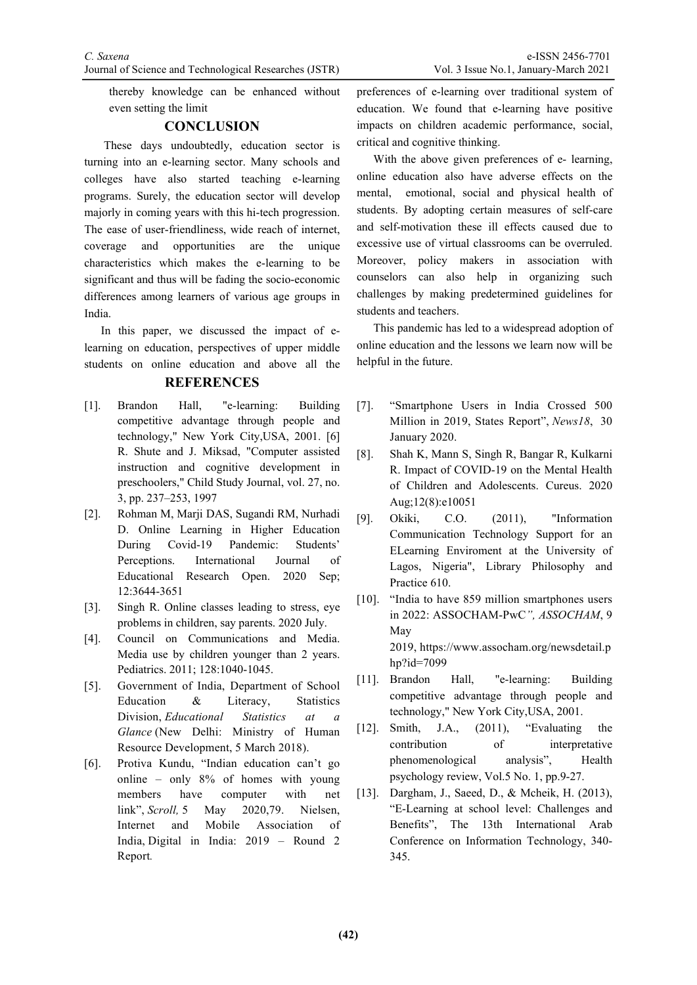thereby knowledge can be enhanced without even setting the limit

#### **CONCLUSION**

These days undoubtedly, education sector is turning into an e-learning sector. Many schools and colleges have also started teaching e-learning programs. Surely, the education sector will develop majorly in coming years with this hi-tech progression. The ease of user-friendliness, wide reach of internet, coverage and opportunities are the unique characteristics which makes the e-learning to be significant and thus will be fading the socio-economic differences among learners of various age groups in India.

In this paper, we discussed the impact of elearning on education, perspectives of upper middle students on online education and above all the

#### **REFERENCES**

- [1]. Brandon Hall, "e-learning: Building competitive advantage through people and technology," New York City,USA, 2001. [6] R. Shute and J. Miksad, "Computer assisted instruction and cognitive development in preschoolers," Child Study Journal, vol. 27, no. 3, pp. 237–253, 1997
- [2]. Rohman M, Marji DAS, Sugandi RM, Nurhadi D. Online Learning in Higher Education During Covid-19 Pandemic: Students' Perceptions. International Journal of Educational Research Open. 2020 Sep; 12:3644-3651
- [3]. Singh R. Online classes leading to stress, eye problems in children, say parents. 2020 July.
- [4]. Council on Communications and Media. Media use by children younger than 2 years. Pediatrics. 2011; 128:1040-1045.
- [5]. Government of India, Department of School Education & Literacy, Statistics Division, *Educational Statistics at a Glance* (New Delhi: Ministry of Human Resource Development, 5 March 2018).
- [6]. Protiva Kundu, "Indian education can't go online – only 8% of homes with young members have computer with net link", *Scroll,* 5 May 2020,79. Nielsen, Internet and Mobile Association of India, Digital in India: 2019 – Round 2 Report*.*

preferences of e-learning over traditional system of education. We found that e-learning have positive impacts on children academic performance, social, critical and cognitive thinking.

With the above given preferences of e- learning, online education also have adverse effects on the mental, emotional, social and physical health of students. By adopting certain measures of self-care and self-motivation these ill effects caused due to excessive use of virtual classrooms can be overruled. Moreover, policy makers in association with counselors can also help in organizing such challenges by making predetermined guidelines for students and teachers.

This pandemic has led to a widespread adoption of online education and the lessons we learn now will be helpful in the future.

- [7]. "Smartphone Users in India Crossed 500 Million in 2019, States Report", *News18*, 30 January 2020.
- [8]. Shah K, Mann S, Singh R, Bangar R, Kulkarni R. Impact of COVID-19 on the Mental Health of Children and Adolescents. Cureus. 2020 Aug;12(8):e10051
- [9]. Okiki, C.O. (2011), "Information Communication Technology Support for an ELearning Enviroment at the University of Lagos, Nigeria", Library Philosophy and Practice 610.
- [10]. "India to have 859 million smartphones users in 2022: ASSOCHAM-PwC*", ASSOCHAM*, 9 May 2019, https://www.assocham.org/newsdetail.p hp?id=7099
- [11]. Brandon Hall, "e-learning: Building competitive advantage through people and technology," New York City,USA, 2001.
- [12]. Smith, J.A., (2011), "Evaluating the contribution of interpretative phenomenological analysis", Health psychology review, Vol.5 No. 1, pp.9-27.
- [13]. Dargham, J., Saeed, D., & Mcheik, H. (2013), "E-Learning at school level: Challenges and Benefits", The 13th International Arab Conference on Information Technology, 340- 345.